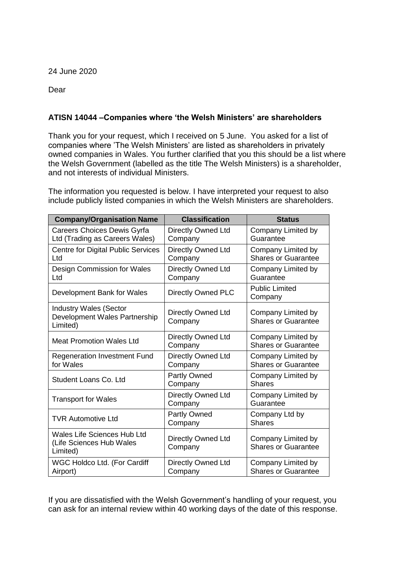24 June 2020

Dear

## **ATISN 14044 –Companies where 'the Welsh Ministers' are shareholders**

Thank you for your request, which I received on 5 June. You asked for a list of companies where 'The Welsh Ministers' are listed as shareholders in privately owned companies in Wales. You further clarified that you this should be a list where the Welsh Government (labelled as the title The Welsh Ministers) is a shareholder, and not interests of individual Ministers.

The information you requested is below. I have interpreted your request to also include publicly listed companies in which the Welsh Ministers are shareholders.

| <b>Company/Organisation Name</b>                                           | <b>Classification</b>                | <b>Status</b>                                    |
|----------------------------------------------------------------------------|--------------------------------------|--------------------------------------------------|
| Careers Choices Dewis Gyrfa<br>Ltd (Trading as Careers Wales)              | Directly Owned Ltd<br>Company        | Company Limited by<br>Guarantee                  |
| <b>Centre for Digital Public Services</b><br>Ltd                           | Directly Owned Ltd<br>Company        | Company Limited by<br><b>Shares or Guarantee</b> |
| Design Commission for Wales<br>Ltd                                         | <b>Directly Owned Ltd</b><br>Company | Company Limited by<br>Guarantee                  |
| Development Bank for Wales                                                 | <b>Directly Owned PLC</b>            | <b>Public Limited</b><br>Company                 |
| <b>Industry Wales (Sector</b><br>Development Wales Partnership<br>Limited) | <b>Directly Owned Ltd</b><br>Company | Company Limited by<br><b>Shares or Guarantee</b> |
| <b>Meat Promotion Wales Ltd</b>                                            | <b>Directly Owned Ltd</b><br>Company | Company Limited by<br><b>Shares or Guarantee</b> |
| <b>Regeneration Investment Fund</b><br>for Wales                           | <b>Directly Owned Ltd</b><br>Company | Company Limited by<br><b>Shares or Guarantee</b> |
| Student Loans Co. Ltd                                                      | Partly Owned<br>Company              | Company Limited by<br><b>Shares</b>              |
| <b>Transport for Wales</b>                                                 | <b>Directly Owned Ltd</b><br>Company | Company Limited by<br>Guarantee                  |
| <b>TVR Automotive Ltd</b>                                                  | <b>Partly Owned</b><br>Company       | Company Ltd by<br><b>Shares</b>                  |
| <b>Wales Life Sciences Hub Ltd</b><br>(Life Sciences Hub Wales<br>Limited) | Directly Owned Ltd<br>Company        | Company Limited by<br><b>Shares or Guarantee</b> |
| WGC Holdco Ltd. (For Cardiff<br>Airport)                                   | <b>Directly Owned Ltd</b><br>Company | Company Limited by<br><b>Shares or Guarantee</b> |

If you are dissatisfied with the Welsh Government's handling of your request, you can ask for an internal review within 40 working days of the date of this response.